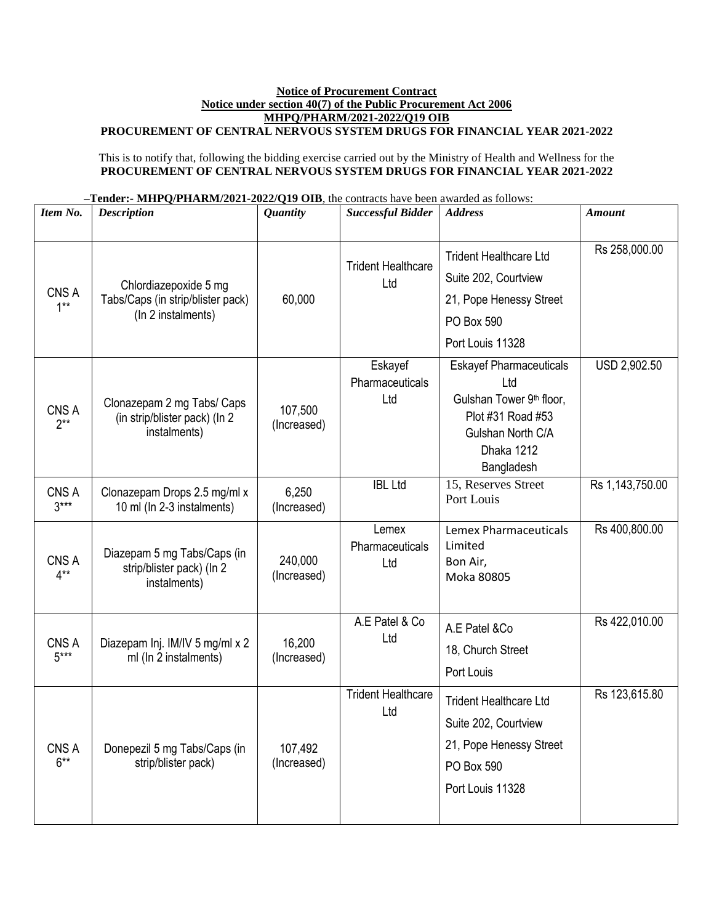## **Notice of Procurement Contract Notice under section 40(7) of the Public Procurement Act 2006 MHPQ/PHARM/2021-2022/Q19 OIB**

## **PROCUREMENT OF CENTRAL NERVOUS SYSTEM DRUGS FOR FINANCIAL YEAR 2021-2022**

This is to notify that, following the bidding exercise carried out by the Ministry of Health and Wellness for the **PROCUREMENT OF CENTRAL NERVOUS SYSTEM DRUGS FOR FINANCIAL YEAR 2021-2022**

| -Tender:- MHPQ/PHARM/2021-2022/Q19 OIB, the contracts have been awarded as follows: |
|-------------------------------------------------------------------------------------|
|-------------------------------------------------------------------------------------|

| Item No.        | <b>Description</b>                                                               | <b>Quantity</b>        | <b>Successful Bidder</b>          | <b>Address</b>                                                                                                                          | <b>Amount</b>   |
|-----------------|----------------------------------------------------------------------------------|------------------------|-----------------------------------|-----------------------------------------------------------------------------------------------------------------------------------------|-----------------|
| CNS A<br>$1***$ | Chlordiazepoxide 5 mg<br>Tabs/Caps (in strip/blister pack)<br>(In 2 instalments) | 60,000                 | <b>Trident Healthcare</b><br>Ltd  | <b>Trident Healthcare Ltd</b><br>Suite 202, Courtview<br>21, Pope Henessy Street<br>PO Box 590<br>Port Louis 11328                      | Rs 258,000.00   |
| CNS A<br>$2**$  | Clonazepam 2 mg Tabs/ Caps<br>(in strip/blister pack) (In 2<br>instalments)      | 107,500<br>(Increased) | Eskayef<br>Pharmaceuticals<br>Ltd | <b>Eskayef Pharmaceuticals</b><br>Ltd<br>Gulshan Tower 9th floor,<br>Plot #31 Road #53<br>Gulshan North C/A<br>Dhaka 1212<br>Bangladesh | USD 2,902.50    |
| CNS A<br>$3***$ | Clonazepam Drops 2.5 mg/ml x<br>10 ml (In 2-3 instalments)                       | 6,250<br>(Increased)   | <b>IBL Ltd</b>                    | 15, Reserves Street<br>Port Louis                                                                                                       | Rs 1,143,750.00 |
| CNS A<br>$4***$ | Diazepam 5 mg Tabs/Caps (in<br>strip/blister pack) (In 2<br>instalments)         | 240,000<br>(Increased) | Lemex<br>Pharmaceuticals<br>Ltd   | Lemex Pharmaceuticals<br>Limited<br>Bon Air,<br>Moka 80805                                                                              | Rs 400,800.00   |
| CNS A<br>$5***$ | Diazepam Inj. IM/IV 5 mg/ml x 2<br>ml (In 2 instalments)                         | 16,200<br>(Increased)  | A.E Patel & Co<br>Ltd             | A.E Patel &Co<br>18, Church Street<br>Port Louis                                                                                        | Rs 422,010.00   |
| CNS A<br>$6***$ | Donepezil 5 mg Tabs/Caps (in<br>strip/blister pack)                              | 107,492<br>(Increased) | <b>Trident Healthcare</b><br>Ltd  | <b>Trident Healthcare Ltd</b><br>Suite 202, Courtview<br>21, Pope Henessy Street<br>PO Box 590<br>Port Louis 11328                      | Rs 123,615.80   |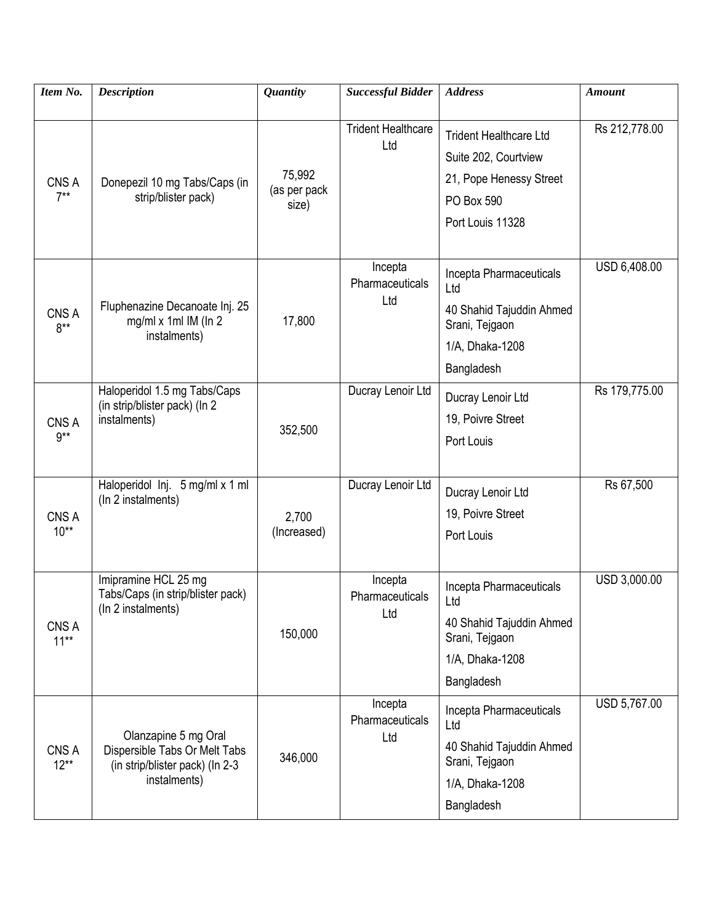| Item No.         | <b>Description</b>                                                                                       | <b>Quantity</b>                 | <b>Successful Bidder</b>          | <b>Address</b>                                                                                                     | <b>Amount</b> |
|------------------|----------------------------------------------------------------------------------------------------------|---------------------------------|-----------------------------------|--------------------------------------------------------------------------------------------------------------------|---------------|
| CNS A<br>$7**$   | Donepezil 10 mg Tabs/Caps (in<br>strip/blister pack)                                                     | 75,992<br>(as per pack<br>size) | <b>Trident Healthcare</b><br>Ltd  | <b>Trident Healthcare Ltd</b><br>Suite 202, Courtview<br>21, Pope Henessy Street<br>PO Box 590<br>Port Louis 11328 | Rs 212,778.00 |
| CNS A<br>$8***$  | Fluphenazine Decanoate Inj. 25<br>mg/ml x 1ml IM (In 2<br>instalments)                                   | 17,800                          | Incepta<br>Pharmaceuticals<br>Ltd | Incepta Pharmaceuticals<br>Ltd<br>40 Shahid Tajuddin Ahmed<br>Srani, Tejgaon<br>1/A, Dhaka-1208<br>Bangladesh      | USD 6,408.00  |
| CNS A<br>$9***$  | Haloperidol 1.5 mg Tabs/Caps<br>(in strip/blister pack) (In 2)<br>instalments)                           | 352,500                         | Ducray Lenoir Ltd                 | Ducray Lenoir Ltd<br>19, Poivre Street<br>Port Louis                                                               | Rs 179,775.00 |
| CNS A<br>$10**$  | Haloperidol Inj. 5 mg/ml x 1 ml<br>(In 2 instalments)                                                    | 2,700<br>(Increased)            | Ducray Lenoir Ltd                 | Ducray Lenoir Ltd<br>19, Poivre Street<br>Port Louis                                                               | Rs 67,500     |
| CNS A<br>$11***$ | Imipramine HCL 25 mg<br>Tabs/Caps (in strip/blister pack)<br>(In 2 instalments)                          | 150,000                         | Incepta<br>Pharmaceuticals<br>Ltd | Incepta Pharmaceuticals<br>Ltd<br>40 Shahid Tajuddin Ahmed<br>Srani, Tejgaon<br>1/A, Dhaka-1208<br>Bangladesh      | USD 3,000.00  |
| CNS A<br>$12***$ | Olanzapine 5 mg Oral<br>Dispersible Tabs Or Melt Tabs<br>(in strip/blister pack) (In 2-3<br>instalments) | 346,000                         | Incepta<br>Pharmaceuticals<br>Ltd | Incepta Pharmaceuticals<br>Ltd<br>40 Shahid Tajuddin Ahmed<br>Srani, Tejgaon<br>1/A, Dhaka-1208<br>Bangladesh      | USD 5,767.00  |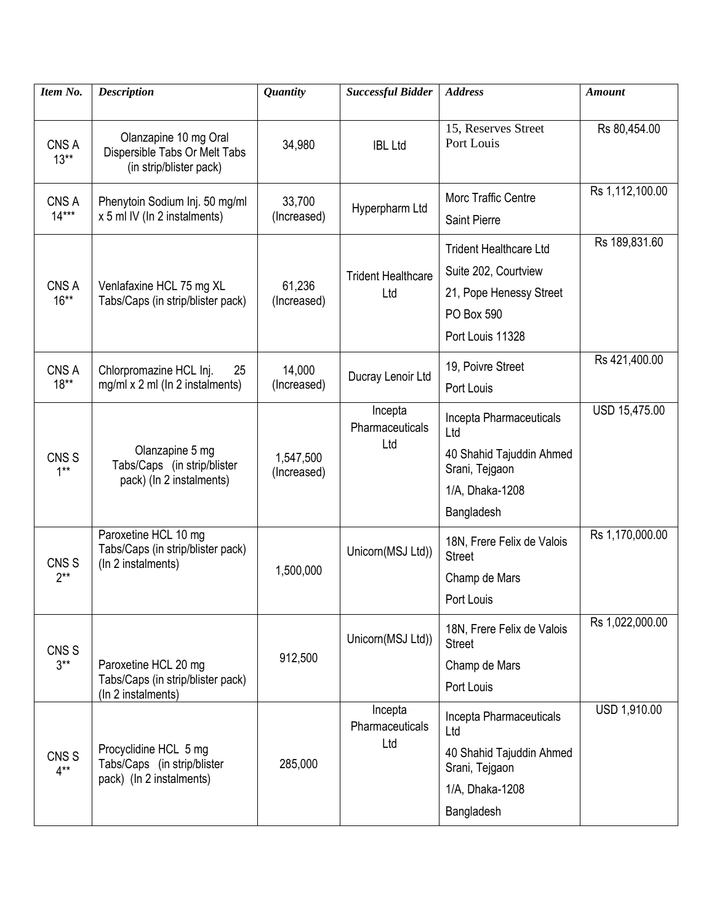| Item No.                   | <b>Description</b>                                                                | <b>Quantity</b>          | <b>Successful Bidder</b>          | <b>Address</b>                                                                                                     | <b>Amount</b>   |
|----------------------------|-----------------------------------------------------------------------------------|--------------------------|-----------------------------------|--------------------------------------------------------------------------------------------------------------------|-----------------|
| CNS A<br>$13**$            | Olanzapine 10 mg Oral<br>Dispersible Tabs Or Melt Tabs<br>(in strip/blister pack) | 34,980                   | <b>IBL Ltd</b>                    | 15, Reserves Street<br>Port Louis                                                                                  | Rs 80,454.00    |
| CNS A<br>$14***$           | Phenytoin Sodium Inj. 50 mg/ml<br>x 5 ml IV (In 2 instalments)                    | 33,700<br>(Increased)    | Hyperpharm Ltd                    | Morc Traffic Centre<br>Saint Pierre                                                                                | Rs 1,112,100.00 |
| CNS A<br>$16***$           | Venlafaxine HCL 75 mg XL<br>Tabs/Caps (in strip/blister pack)                     | 61,236<br>(Increased)    | <b>Trident Healthcare</b><br>Ltd  | <b>Trident Healthcare Ltd</b><br>Suite 202, Courtview<br>21, Pope Henessy Street<br>PO Box 590<br>Port Louis 11328 | Rs 189,831.60   |
| CNS A<br>$18**$            | Chlorpromazine HCL Inj.<br>25<br>$mg/ml \times 2 ml$ (In 2 instalments)           | 14,000<br>(Increased)    | Ducray Lenoir Ltd                 | 19, Poivre Street<br>Port Louis                                                                                    | Rs 421,400.00   |
| CNS <sub>S</sub><br>$1***$ | Olanzapine 5 mg<br>Tabs/Caps (in strip/blister<br>pack) (In 2 instalments)        | 1,547,500<br>(Increased) | Incepta<br>Pharmaceuticals<br>Ltd | Incepta Pharmaceuticals<br>Ltd<br>40 Shahid Tajuddin Ahmed<br>Srani, Tejgaon<br>1/A, Dhaka-1208<br>Bangladesh      | USD 15,475.00   |
| CNS <sub>S</sub><br>$2**$  | Paroxetine HCL 10 mg<br>Tabs/Caps (in strip/blister pack)<br>(In 2 instalments)   | 1,500,000                | Unicorn(MSJ Ltd))                 | 18N, Frere Felix de Valois<br><b>Street</b><br>Champ de Mars<br>Port Louis                                         | Rs 1,170,000.00 |
| CNS <sub>S</sub><br>$3**$  | Paroxetine HCL 20 mg<br>Tabs/Caps (in strip/blister pack)<br>(In 2 instalments)   | 912,500                  | Unicorn(MSJ Ltd))                 | 18N, Frere Felix de Valois<br><b>Street</b><br>Champ de Mars<br>Port Louis                                         | Rs 1,022,000.00 |
| CNS <sub>S</sub><br>$4**$  | Procyclidine HCL 5 mg<br>Tabs/Caps (in strip/blister<br>pack) (In 2 instalments)  | 285,000                  | Incepta<br>Pharmaceuticals<br>Ltd | Incepta Pharmaceuticals<br>Ltd<br>40 Shahid Tajuddin Ahmed<br>Srani, Tejgaon<br>1/A, Dhaka-1208<br>Bangladesh      | USD 1,910.00    |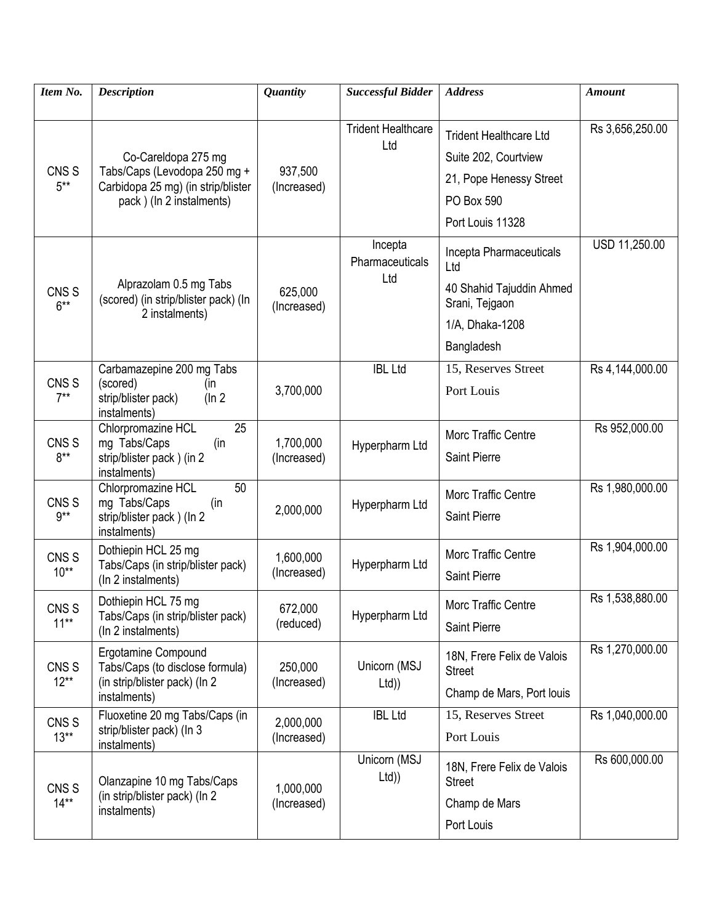| Item No.                    | <b>Description</b>                                                                                                    | <b>Quantity</b>          | <b>Successful Bidder</b>          | <b>Address</b>                                                                                                     | <b>Amount</b>   |
|-----------------------------|-----------------------------------------------------------------------------------------------------------------------|--------------------------|-----------------------------------|--------------------------------------------------------------------------------------------------------------------|-----------------|
| CNS <sub>S</sub><br>$5***$  | Co-Careldopa 275 mg<br>Tabs/Caps (Levodopa 250 mg +<br>Carbidopa 25 mg) (in strip/blister<br>pack) (In 2 instalments) | 937,500<br>(Increased)   | <b>Trident Healthcare</b><br>Ltd  | <b>Trident Healthcare Ltd</b><br>Suite 202, Courtview<br>21, Pope Henessy Street<br>PO Box 590<br>Port Louis 11328 | Rs 3,656,250.00 |
| CNS <sub>S</sub><br>$6***$  | Alprazolam 0.5 mg Tabs<br>(scored) (in strip/blister pack) (In<br>2 instalments)                                      | 625,000<br>(Increased)   | Incepta<br>Pharmaceuticals<br>Ltd | Incepta Pharmaceuticals<br>Ltd<br>40 Shahid Tajuddin Ahmed<br>Srani, Tejgaon<br>1/A, Dhaka-1208<br>Bangladesh      | USD 11,250.00   |
| CNS <sub>S</sub><br>$7***$  | Carbamazepine 200 mg Tabs<br>(scored)<br>(in<br>strip/blister pack)<br>(ln 2)<br>instalments)                         | 3,700,000                | <b>IBL Ltd</b>                    | 15, Reserves Street<br>Port Louis                                                                                  | Rs 4,144,000.00 |
| CNS <sub>S</sub><br>$8***$  | Chlorpromazine HCL<br>25<br>mg Tabs/Caps<br>(in<br>strip/blister pack) (in 2<br>instalments)                          | 1,700,000<br>(Increased) | Hyperpharm Ltd                    | Morc Traffic Centre<br>Saint Pierre                                                                                | Rs 952,000.00   |
| CNS <sub>S</sub><br>$9***$  | Chlorpromazine HCL<br>50<br>mg Tabs/Caps<br>(in<br>strip/blister pack) (In 2<br>instalments)                          | 2,000,000                | Hyperpharm Ltd                    | Morc Traffic Centre<br>Saint Pierre                                                                                | Rs 1,980,000.00 |
| CNS <sub>S</sub><br>$10**$  | Dothiepin HCL 25 mg<br>Tabs/Caps (in strip/blister pack)<br>(In 2 instalments)                                        | 1,600,000<br>(Increased) | Hyperpharm Ltd                    | Morc Traffic Centre<br>Saint Pierre                                                                                | Rs 1,904,000.00 |
| CNS <sub>S</sub><br>$11***$ | Dothiepin HCL 75 mg<br>Tabs/Caps (in strip/blister pack)<br>(In 2 instalments)                                        | 672,000<br>(reduced)     | Hyperpharm Ltd                    | Morc Traffic Centre<br>Saint Pierre                                                                                | Rs 1,538,880.00 |
| CNS <sub>S</sub><br>$12***$ | Ergotamine Compound<br>Tabs/Caps (to disclose formula)<br>(in strip/blister pack) (In 2)<br>instalments)              | 250,000<br>(Increased)   | Unicorn (MSJ<br>Ltd)              | 18N, Frere Felix de Valois<br><b>Street</b><br>Champ de Mars, Port Iouis                                           | Rs 1,270,000.00 |
| CNS <sub>S</sub><br>$13***$ | Fluoxetine 20 mg Tabs/Caps (in<br>strip/blister pack) (In 3<br>instalments)                                           | 2,000,000<br>(Increased) | <b>IBL Ltd</b>                    | 15, Reserves Street<br>Port Louis                                                                                  | Rs 1,040,000.00 |
| CNS <sub>S</sub><br>$14**$  | Olanzapine 10 mg Tabs/Caps<br>(in strip/blister pack) (In 2)<br>instalments)                                          | 1,000,000<br>(Increased) | Unicorn (MSJ<br>Ltd)              | 18N, Frere Felix de Valois<br><b>Street</b><br>Champ de Mars<br>Port Louis                                         | Rs 600,000.00   |